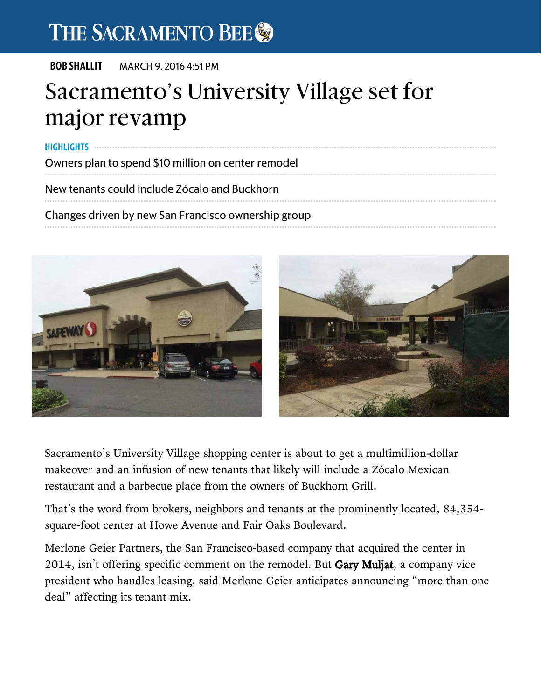## THE SACRAMENTO BEE

BOB SHALLIT MARCH 9, 2016 4:51 PM

## Sacramento's University Village set for major revamp

Owners plan to spend \$10 million on center remodel New tenants could include Zócalo and Buckhorn HIGHLIGHTS **William Street Street Street Street Street** 

Changes driven by new San Francisco ownership group



Sacramento's University Village shopping center is about to get a multimillion-dollar makeover and an infusion of new tenants that likely will include a Zócalo Mexican restaurant and a barbecue place from the owners of Buckhorn Grill.

That's the word from brokers, neighbors and tenants at the prominently located, 84,354 square-foot center at Howe Avenue and Fair Oaks Boulevard.

Merlone Geier Partners, the San Francisco-based company that acquired the center in 2014, isn't offering specific comment on the remodel. But Gary Muljat, a company vice president who handles leasing, said Merlone Geier anticipates announcing "more than one deal" affecting its tenant mix.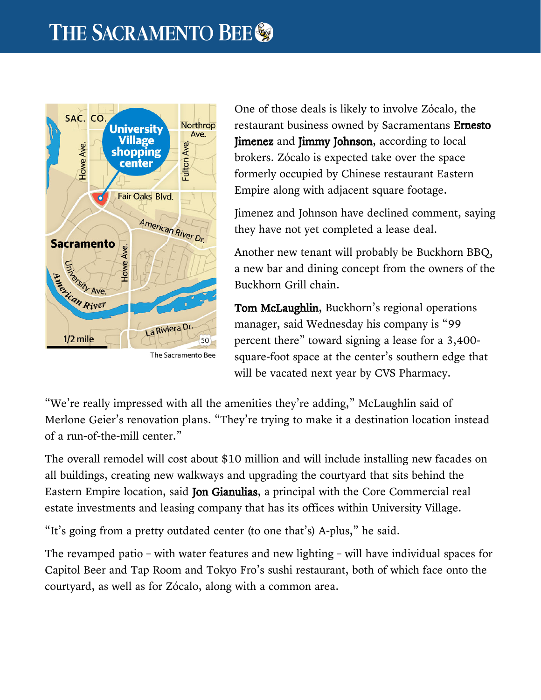

The Sacramento Bee

One of those deals is likely to involve Zócalo, the restaurant business owned by Sacramentans Ernesto **Jimenez** and **Jimmy Johnson**, according to local brokers. Zócalo is expected take over the space formerly occupied by Chinese restaurant Eastern Empire along with adjacent square footage.

Jimenez and Johnson have declined comment, saying they have not yet completed a lease deal.

Another new tenant will probably be Buckhorn BBQ, a new bar and dining concept from the owners of the Buckhorn Grill chain.

Tom McLaughlin, Buckhorn's regional operations manager, said Wednesday his company is "99 percent there" toward signing a lease for a 3,400 square-foot space at the center's southern edge that will be vacated next year by CVS Pharmacy.

"We're really impressed with all the amenities they're adding," McLaughlin said of Merlone Geier's renovation plans. "They're trying to make it a destination location instead of a run-of-the-mill center."

 $2014$  , is not on the remodel. But Gary Multiple comment on the remodel. But Gary Multiple company vice  $\alpha$ 

The overall remodel will cost about \$10 million and will include installing new facades on all buildings, creating new walkways and upgrading the courtyard that sits behind the Eastern Empire location, said Jon Gianulias, a principal with the Core Commercial real estate investments and leasing company that has its offices within University Village.

"It's going from a pretty outdated center (to one that's) A-plus," he said.

The revamped patio – with water features and new lighting – will have individual spaces for Capitol Beer and Tap Room and Tokyo Fro's sushi restaurant, both of which face onto the courtyard, as well as for Zócalo, along with a common area.